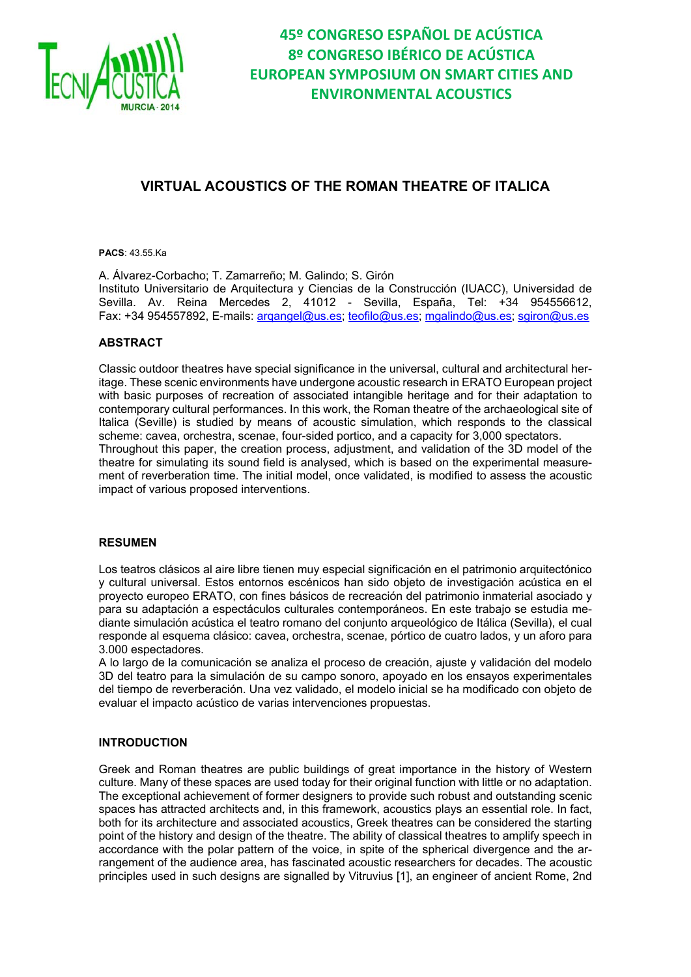

### **VIRTUAL ACOUSTICS OF THE ROMAN THEATRE OF ITALICA**

**PACS**: 43.55.Ka

A. Álvarez-Corbacho; T. Zamarreño; M. Galindo; S. Girón Instituto Universitario de Arquitectura y Ciencias de la Construcción (IUACC), Universidad de Sevilla. Av. Reina Mercedes 2, 41012 - Sevilla, España, Tel: +34 954556612, Fax: +34 954557892, E-mails: arqangel@us.es; teofilo@us.es; mgalindo@us.es; sgiron@us.es

#### **ABSTRACT**

Classic outdoor theatres have special significance in the universal, cultural and architectural heritage. These scenic environments have undergone acoustic research in ERATO European project with basic purposes of recreation of associated intangible heritage and for their adaptation to contemporary cultural performances. In this work, the Roman theatre of the archaeological site of Italica (Seville) is studied by means of acoustic simulation, which responds to the classical scheme: cavea, orchestra, scenae, four-sided portico, and a capacity for 3,000 spectators. Throughout this paper, the creation process, adjustment, and validation of the 3D model of the theatre for simulating its sound field is analysed, which is based on the experimental measurement of reverberation time. The initial model, once validated, is modified to assess the acoustic impact of various proposed interventions.

#### **RESUMEN**

Los teatros clásicos al aire libre tienen muy especial significación en el patrimonio arquitectónico y cultural universal. Estos entornos escénicos han sido objeto de investigación acústica en el proyecto europeo ERATO, con fines básicos de recreación del patrimonio inmaterial asociado y para su adaptación a espectáculos culturales contemporáneos. En este trabajo se estudia mediante simulación acústica el teatro romano del conjunto arqueológico de Itálica (Sevilla), el cual responde al esquema clásico: cavea, orchestra, scenae, pórtico de cuatro lados, y un aforo para 3.000 espectadores.

A lo largo de la comunicación se analiza el proceso de creación, ajuste y validación del modelo 3D del teatro para la simulación de su campo sonoro, apoyado en los ensayos experimentales del tiempo de reverberación. Una vez validado, el modelo inicial se ha modificado con objeto de evaluar el impacto acústico de varias intervenciones propuestas.

#### **INTRODUCTION**

Greek and Roman theatres are public buildings of great importance in the history of Western culture. Many of these spaces are used today for their original function with little or no adaptation. The exceptional achievement of former designers to provide such robust and outstanding scenic spaces has attracted architects and, in this framework, acoustics plays an essential role. In fact, both for its architecture and associated acoustics, Greek theatres can be considered the starting point of the history and design of the theatre. The ability of classical theatres to amplify speech in accordance with the polar pattern of the voice, in spite of the spherical divergence and the arrangement of the audience area, has fascinated acoustic researchers for decades. The acoustic principles used in such designs are signalled by Vitruvius [1], an engineer of ancient Rome, 2nd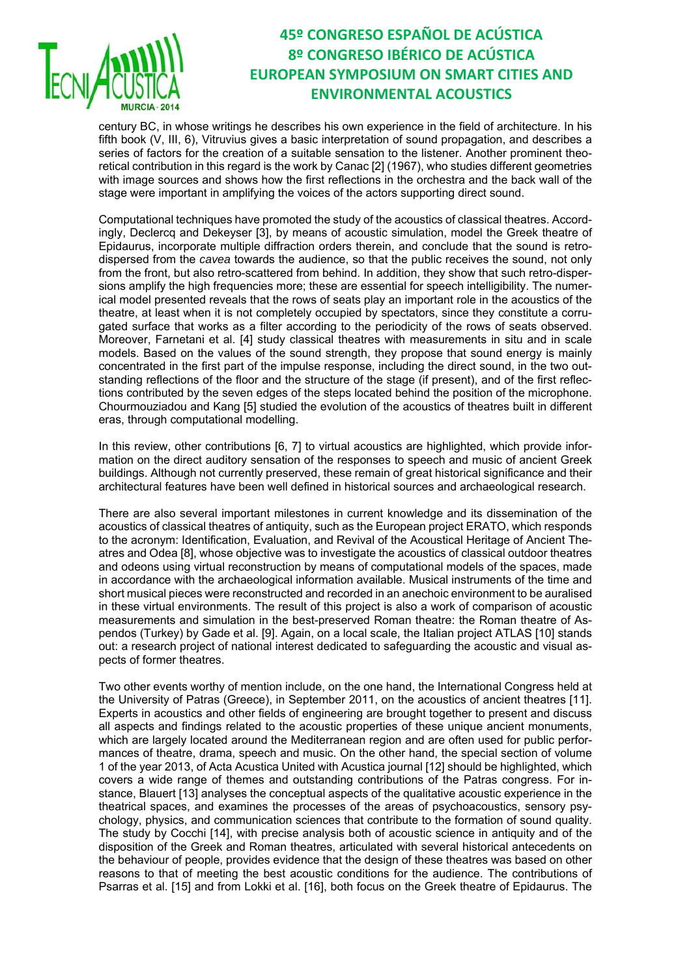

century BC, in whose writings he describes his own experience in the field of architecture. In his fifth book (V, III, 6), Vitruvius gives a basic interpretation of sound propagation, and describes a series of factors for the creation of a suitable sensation to the listener. Another prominent theoretical contribution in this regard is the work by Canac [2] (1967), who studies different geometries with image sources and shows how the first reflections in the orchestra and the back wall of the stage were important in amplifying the voices of the actors supporting direct sound.

Computational techniques have promoted the study of the acoustics of classical theatres. Accordingly, Declercq and Dekeyser [3], by means of acoustic simulation, model the Greek theatre of Epidaurus, incorporate multiple diffraction orders therein, and conclude that the sound is retrodispersed from the *cavea* towards the audience, so that the public receives the sound, not only from the front, but also retro-scattered from behind. In addition, they show that such retro-dispersions amplify the high frequencies more; these are essential for speech intelligibility. The numerical model presented reveals that the rows of seats play an important role in the acoustics of the theatre, at least when it is not completely occupied by spectators, since they constitute a corrugated surface that works as a filter according to the periodicity of the rows of seats observed. Moreover, Farnetani et al. [4] study classical theatres with measurements in situ and in scale models. Based on the values of the sound strength, they propose that sound energy is mainly concentrated in the first part of the impulse response, including the direct sound, in the two outstanding reflections of the floor and the structure of the stage (if present), and of the first reflections contributed by the seven edges of the steps located behind the position of the microphone. Chourmouziadou and Kang [5] studied the evolution of the acoustics of theatres built in different eras, through computational modelling.

In this review, other contributions [6, 7] to virtual acoustics are highlighted, which provide information on the direct auditory sensation of the responses to speech and music of ancient Greek buildings. Although not currently preserved, these remain of great historical significance and their architectural features have been well defined in historical sources and archaeological research.

There are also several important milestones in current knowledge and its dissemination of the acoustics of classical theatres of antiquity, such as the European project ERATO, which responds to the acronym: Identification, Evaluation, and Revival of the Acoustical Heritage of Ancient Theatres and Odea [8], whose objective was to investigate the acoustics of classical outdoor theatres and odeons using virtual reconstruction by means of computational models of the spaces, made in accordance with the archaeological information available. Musical instruments of the time and short musical pieces were reconstructed and recorded in an anechoic environment to be auralised in these virtual environments. The result of this project is also a work of comparison of acoustic measurements and simulation in the best-preserved Roman theatre: the Roman theatre of Aspendos (Turkey) by Gade et al. [9]. Again, on a local scale, the Italian project ATLAS [10] stands out: a research project of national interest dedicated to safeguarding the acoustic and visual aspects of former theatres.

Two other events worthy of mention include, on the one hand, the International Congress held at the University of Patras (Greece), in September 2011, on the acoustics of ancient theatres [11]. Experts in acoustics and other fields of engineering are brought together to present and discuss all aspects and findings related to the acoustic properties of these unique ancient monuments, which are largely located around the Mediterranean region and are often used for public performances of theatre, drama, speech and music. On the other hand, the special section of volume 1 of the year 2013, of Acta Acustica United with Acustica journal [12] should be highlighted, which covers a wide range of themes and outstanding contributions of the Patras congress. For instance, Blauert [13] analyses the conceptual aspects of the qualitative acoustic experience in the theatrical spaces, and examines the processes of the areas of psychoacoustics, sensory psychology, physics, and communication sciences that contribute to the formation of sound quality. The study by Cocchi [14], with precise analysis both of acoustic science in antiquity and of the disposition of the Greek and Roman theatres, articulated with several historical antecedents on the behaviour of people, provides evidence that the design of these theatres was based on other reasons to that of meeting the best acoustic conditions for the audience. The contributions of Psarras et al. [15] and from Lokki et al. [16], both focus on the Greek theatre of Epidaurus. The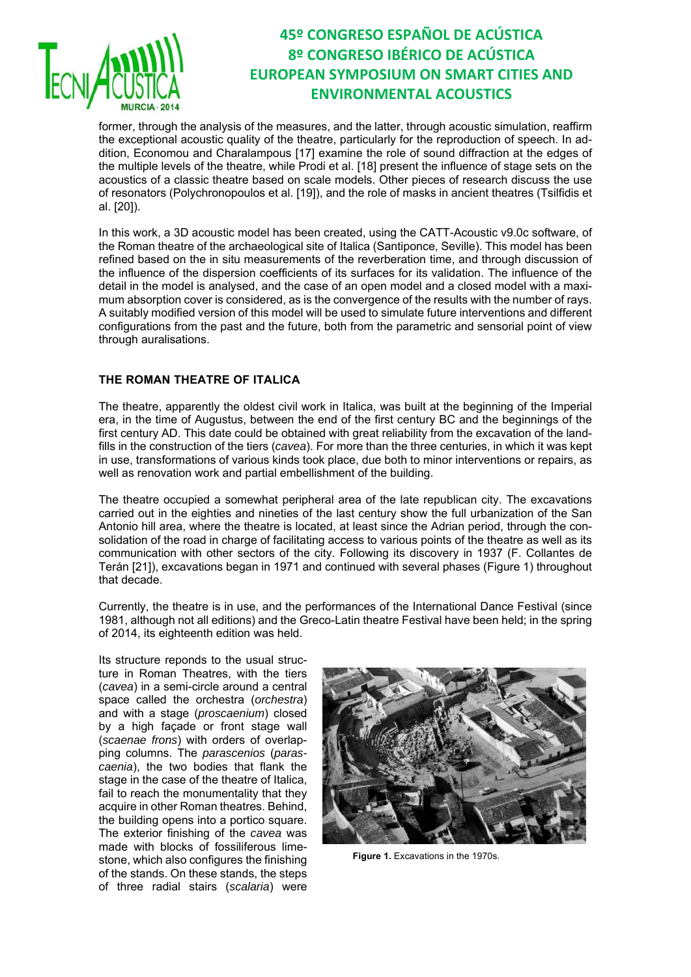

former, through the analysis of the measures, and the latter, through acoustic simulation, reaffirm the exceptional acoustic quality of the theatre, particularly for the reproduction of speech. In addition, Economou and Charalampous [17] examine the role of sound diffraction at the edges of the multiple levels of the theatre, while Prodi et al. [18] present the influence of stage sets on the acoustics of a classic theatre based on scale models. Other pieces of research discuss the use of resonators (Polychronopoulos et al. [19]), and the role of masks in ancient theatres (Tsilfidis et al. [20]).

In this work, a 3D acoustic model has been created, using the CATT-Acoustic v9.0c software, of the Roman theatre of the archaeological site of Italica (Santiponce, Seville). This model has been refined based on the in situ measurements of the reverberation time, and through discussion of the influence of the dispersion coefficients of its surfaces for its validation. The influence of the detail in the model is analysed, and the case of an open model and a closed model with a maximum absorption cover is considered, as is the convergence of the results with the number of rays. A suitably modified version of this model will be used to simulate future interventions and different configurations from the past and the future, both from the parametric and sensorial point of view through auralisations.

### **THE ROMAN THEATRE OF ITALICA**

The theatre, apparently the oldest civil work in Italica, was built at the beginning of the Imperial era, in the time of Augustus, between the end of the first century BC and the beginnings of the first century AD. This date could be obtained with great reliability from the excavation of the landfills in the construction of the tiers (*cavea*). For more than the three centuries, in which it was kept in use, transformations of various kinds took place, due both to minor interventions or repairs, as well as renovation work and partial embellishment of the building.

The theatre occupied a somewhat peripheral area of the late republican city. The excavations carried out in the eighties and nineties of the last century show the full urbanization of the San Antonio hill area, where the theatre is located, at least since the Adrian period, through the consolidation of the road in charge of facilitating access to various points of the theatre as well as its communication with other sectors of the city. Following its discovery in 1937 (F. Collantes de Terán [21]), excavations began in 1971 and continued with several phases (Figure 1) throughout that decade.

Currently, the theatre is in use, and the performances of the International Dance Festival (since 1981, although not all editions) and the Greco-Latin theatre Festival have been held; in the spring of 2014, its eighteenth edition was held.

Its structure reponds to the usual structure in Roman Theatres, with the tiers (*cavea*) in a semi-circle around a central space called the orchestra (*orchestra*) and with a stage (*proscaenium*) closed by a high façade or front stage wall (*scaenae frons*) with orders of overlapping columns. The *parascenios* (*parascaenia*), the two bodies that flank the stage in the case of the theatre of Italica, fail to reach the monumentality that they acquire in other Roman theatres. Behind, the building opens into a portico square. The exterior finishing of the *cavea* was made with blocks of fossiliferous limestone, which also configures the finishing of the stands. On these stands, the steps of three radial stairs (*scalaria*) were



**Figure 1.** Excavations in the 1970s.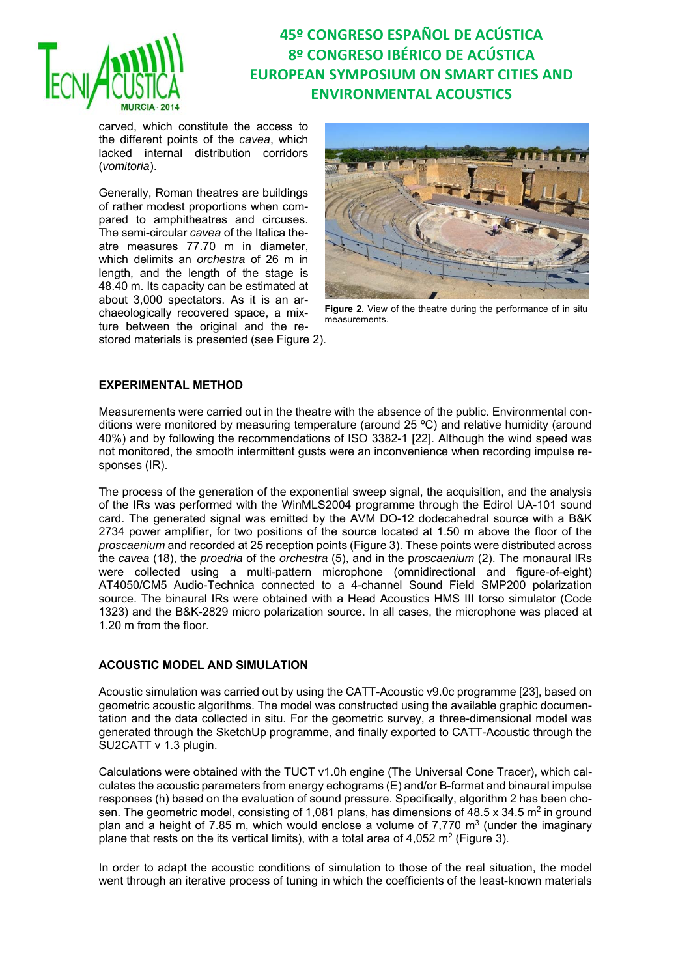

carved, which constitute the access to the different points of the *cavea*, which lacked internal distribution corridors (*vomitoria*).

Generally, Roman theatres are buildings of rather modest proportions when compared to amphitheatres and circuses. The semi-circular *cavea* of the Italica theatre measures 77.70 m in diameter, which delimits an *orchestra* of 26 m in length, and the length of the stage is 48.40 m. Its capacity can be estimated at about 3,000 spectators. As it is an archaeologically recovered space, a mixture between the original and the restored materials is presented (see Figure 2).



**Figure 2.** View of the theatre during the performance of in situ measurements.

#### **EXPERIMENTAL METHOD**

Measurements were carried out in the theatre with the absence of the public. Environmental conditions were monitored by measuring temperature (around 25 ºC) and relative humidity (around 40%) and by following the recommendations of ISO 3382-1 [22]. Although the wind speed was not monitored, the smooth intermittent gusts were an inconvenience when recording impulse responses (IR).

The process of the generation of the exponential sweep signal, the acquisition, and the analysis of the IRs was performed with the WinMLS2004 programme through the Edirol UA-101 sound card. The generated signal was emitted by the AVM DO-12 dodecahedral source with a B&K 2734 power amplifier, for two positions of the source located at 1.50 m above the floor of the *proscaenium* and recorded at 25 reception points (Figure 3). These points were distributed across the *cavea* (18), the *proedria* of the *orchestra* (5), and in the p*roscaenium* (2). The monaural IRs were collected using a multi-pattern microphone (omnidirectional and figure-of-eight) AT4050/CM5 Audio-Technica connected to a 4-channel Sound Field SMP200 polarization source. The binaural IRs were obtained with a Head Acoustics HMS III torso simulator (Code 1323) and the B&K-2829 micro polarization source. In all cases, the microphone was placed at 1.20 m from the floor.

#### **ACOUSTIC MODEL AND SIMULATION**

Acoustic simulation was carried out by using the CATT-Acoustic v9.0c programme [23], based on geometric acoustic algorithms. The model was constructed using the available graphic documentation and the data collected in situ. For the geometric survey, a three-dimensional model was generated through the SketchUp programme, and finally exported to CATT-Acoustic through the SU2CATT v 1.3 plugin.

Calculations were obtained with the TUCT v1.0h engine (The Universal Cone Tracer), which calculates the acoustic parameters from energy echograms (E) and/or B-format and binaural impulse responses (h) based on the evaluation of sound pressure. Specifically, algorithm 2 has been chosen. The geometric model, consisting of 1,081 plans, has dimensions of 48.5 x 34.5 m<sup>2</sup> in ground plan and a height of 7.85 m, which would enclose a volume of 7,770  $m<sup>3</sup>$  (under the imaginary plane that rests on the its vertical limits), with a total area of 4,052  $m^2$  (Figure 3).

In order to adapt the acoustic conditions of simulation to those of the real situation, the model went through an iterative process of tuning in which the coefficients of the least-known materials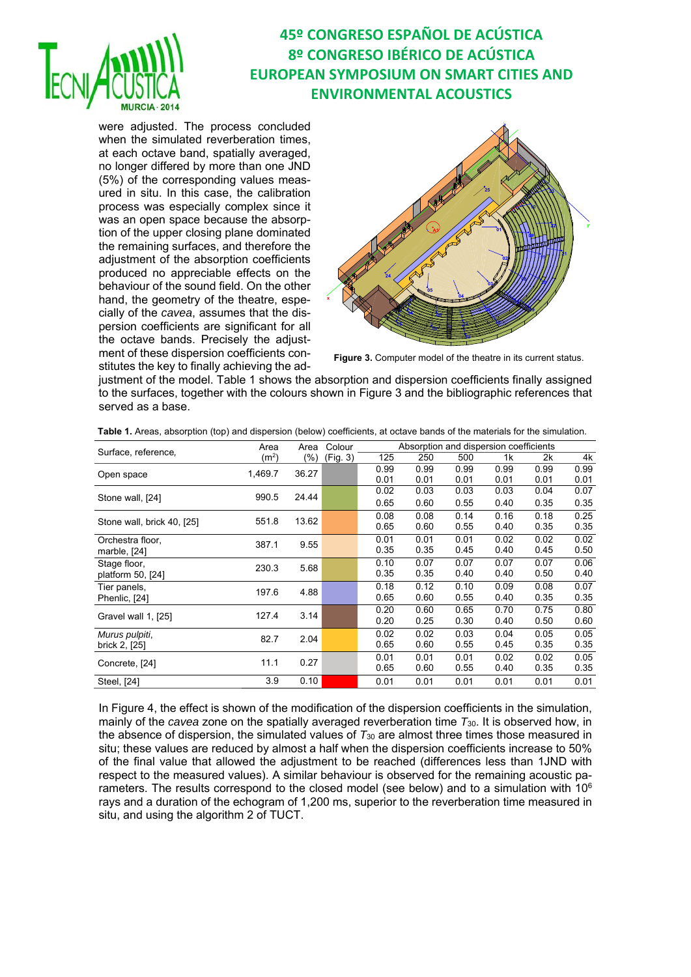

were adjusted. The process concluded when the simulated reverberation times, at each octave band, spatially averaged, no longer differed by more than one JND (5%) of the corresponding values measured in situ. In this case, the calibration process was especially complex since it was an open space because the absorption of the upper closing plane dominated the remaining surfaces, and therefore the adjustment of the absorption coefficients produced no appreciable effects on the behaviour of the sound field. On the other hand, the geometry of the theatre, especially of the *cavea*, assumes that the dispersion coefficients are significant for all the octave bands. Precisely the adjustment of these dispersion coefficients constitutes the key to finally achieving the ad-



**Figure 3.** Computer model of the theatre in its current status.

justment of the model. Table 1 shows the absorption and dispersion coefficients finally assigned to the surfaces, together with the colours shown in Figure 3 and the bibliographic references that served as a base.

| Surface, reference,        | Area              | Area   | Colour   | Absorption and dispersion coefficients |      |      |      |      |      |  |
|----------------------------|-------------------|--------|----------|----------------------------------------|------|------|------|------|------|--|
|                            | (m <sup>2</sup> ) | $(\%)$ | (Fig. 3) | 125                                    | 250  | 500  | 1k   | 2k   | 4k   |  |
| Open space                 | 1,469.7           | 36.27  |          | 0.99                                   | 0.99 | 0.99 | 0.99 | 0.99 | 0.99 |  |
|                            |                   |        |          | 0.01                                   | 0.01 | 0.01 | 0.01 | 0.01 | 0.01 |  |
|                            | 990.5             | 24.44  |          | 0.02                                   | 0.03 | 0.03 | 0.03 | 0.04 | 0.07 |  |
| Stone wall, [24]           |                   |        |          | 0.65                                   | 0.60 | 0.55 | 0.40 | 0.35 | 0.35 |  |
|                            | 551.8             | 13.62  |          | 0.08                                   | 0.08 | 0.14 | 0.16 | 0.18 | 0.25 |  |
| Stone wall, brick 40, [25] |                   |        |          | 0.65                                   | 0.60 | 0.55 | 0.40 | 0.35 | 0.35 |  |
| Orchestra floor,           | 387.1             | 9.55   |          | 0.01                                   | 0.01 | 0.01 | 0.02 | 0.02 | 0.02 |  |
| marble, [24]               |                   |        |          | 0.35                                   | 0.35 | 0.45 | 0.40 | 0.45 | 0.50 |  |
| Stage floor,               | 230.3             | 5.68   |          | 0.10                                   | 0.07 | 0.07 | 0.07 | 0.07 | 0.06 |  |
| platform 50, [24]          |                   |        |          | 0.35                                   | 0.35 | 0.40 | 0.40 | 0.50 | 0.40 |  |
| Tier panels,               | 197.6             | 4.88   |          | 0.18                                   | 0.12 | 0.10 | 0.09 | 0.08 | 0.07 |  |
| Phenlic, [24]              |                   |        |          | 0.65                                   | 0.60 | 0.55 | 0.40 | 0.35 | 0.35 |  |
|                            |                   | 3.14   |          | 0.20                                   | 0.60 | 0.65 | 0.70 | 0.75 | 0.80 |  |
| Gravel wall 1, [25]        | 127.4             |        |          | 0.20                                   | 0.25 | 0.30 | 0.40 | 0.50 | 0.60 |  |
| Murus pulpiti,             |                   |        |          | 0.02                                   | 0.02 | 0.03 | 0.04 | 0.05 | 0.05 |  |
| brick 2, [25]              | 82.7              | 2.04   |          | 0.65                                   | 0.60 | 0.55 | 0.45 | 0.35 | 0.35 |  |
|                            | 11.1              | 0.27   |          | 0.01                                   | 0.01 | 0.01 | 0.02 | 0.02 | 0.05 |  |
| Concrete, [24]             |                   |        |          | 0.65                                   | 0.60 | 0.55 | 0.40 | 0.35 | 0.35 |  |
| Steel, [24]                | 3.9               | 0.10   |          | 0.01                                   | 0.01 | 0.01 | 0.01 | 0.01 | 0.01 |  |
|                            |                   |        |          |                                        |      |      |      |      |      |  |

**Table 1.** Areas, absorption (top) and dispersion (below) coefficients, at octave bands of the materials for the simulation.

In Figure 4, the effect is shown of the modification of the dispersion coefficients in the simulation, mainly of the *cavea* zone on the spatially averaged reverberation time *T*30. It is observed how, in the absence of dispersion, the simulated values of *T*30 are almost three times those measured in situ; these values are reduced by almost a half when the dispersion coefficients increase to 50% of the final value that allowed the adjustment to be reached (differences less than 1JND with respect to the measured values). A similar behaviour is observed for the remaining acoustic parameters. The results correspond to the closed model (see below) and to a simulation with  $10^6$ rays and a duration of the echogram of 1,200 ms, superior to the reverberation time measured in situ, and using the algorithm 2 of TUCT.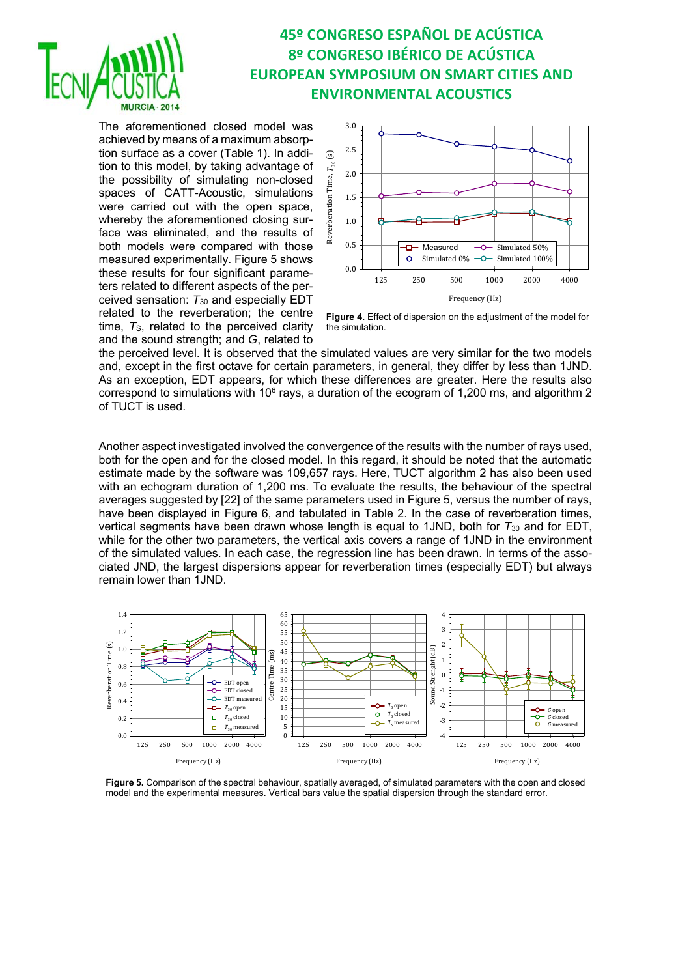

The aforementioned closed model was achieved by means of a maximum absorption surface as a cover (Table 1). In addition to this model, by taking advantage of the possibility of simulating non-closed spaces of CATT-Acoustic, simulations were carried out with the open space, whereby the aforementioned closing surface was eliminated, and the results of both models were compared with those measured experimentally. Figure 5 shows these results for four significant parameters related to different aspects of the perceived sensation: *T*30 and especially EDT related to the reverberation; the centre time, T<sub>S</sub>, related to the perceived clarity and the sound strength; and *G*, related to



**Figure 4.** Effect of dispersion on the adjustment of the model for the simulation.

the perceived level. It is observed that the simulated values are very similar for the two models and, except in the first octave for certain parameters, in general, they differ by less than 1JND. As an exception, EDT appears, for which these differences are greater. Here the results also correspond to simulations with 10 $^6$  rays, a duration of the ecogram of 1,200 ms, and algorithm 2 of TUCT is used.

Another aspect investigated involved the convergence of the results with the number of rays used, both for the open and for the closed model. In this regard, it should be noted that the automatic estimate made by the software was 109,657 rays. Here, TUCT algorithm 2 has also been used with an echogram duration of 1,200 ms. To evaluate the results, the behaviour of the spectral averages suggested by [22] of the same parameters used in Figure 5, versus the number of rays, have been displayed in Figure 6, and tabulated in Table 2. In the case of reverberation times, vertical segments have been drawn whose length is equal to 1JND, both for *T*30 and for EDT, while for the other two parameters, the vertical axis covers a range of 1JND in the environment of the simulated values. In each case, the regression line has been drawn. In terms of the associated JND, the largest dispersions appear for reverberation times (especially EDT) but always remain lower than 1JND.



**Figure 5.** Comparison of the spectral behaviour, spatially averaged, of simulated parameters with the open and closed model and the experimental measures. Vertical bars value the spatial dispersion through the standard error.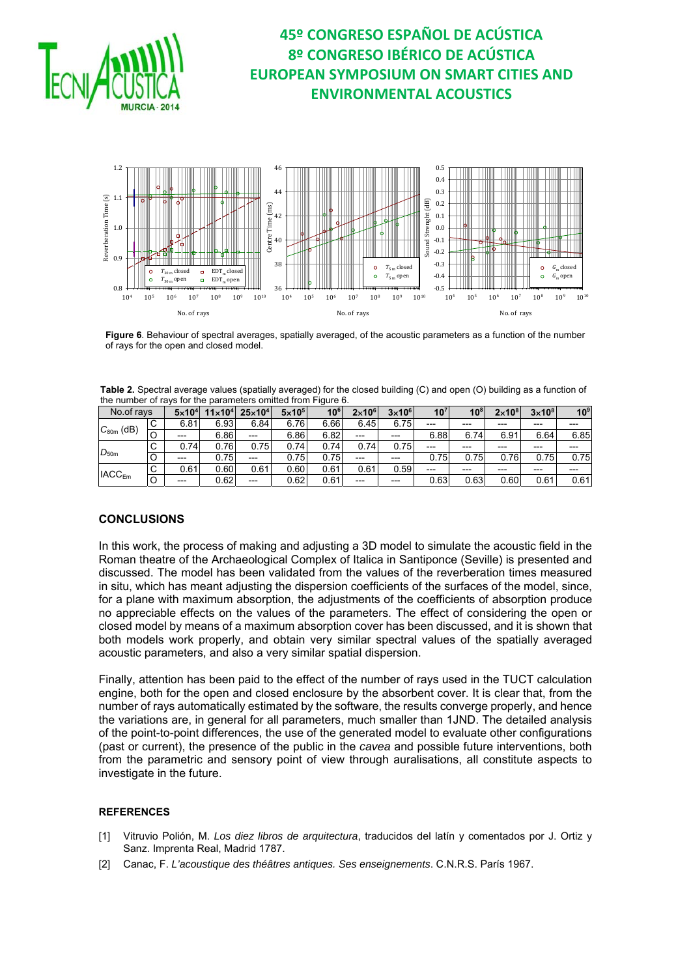



**Figure 6**. Behaviour of spectral averages, spatially averaged, of the acoustic parameters as a function of the number of rays for the open and closed model.

| Table 2. Spectral average values (spatially averaged) for the closed building (C) and open (O) building as a function of |  |
|--------------------------------------------------------------------------------------------------------------------------|--|
| the number of ravs for the parameters omitted from Figure 6.                                                             |  |

| No.of rays               |     | $5\times10^{4}$ | $11\times104$ | $25\times10^{4}$ | $5\times10^{5}$ | 10 <sup>6</sup> | $2\times10^{6}$ | $3\times10^{6}$ | 10 <sup>7</sup> | 10 <sup>8</sup> | $2\times10^{8}$ | $3\times10^8$ | 10 <sup>9</sup> |
|--------------------------|-----|-----------------|---------------|------------------|-----------------|-----------------|-----------------|-----------------|-----------------|-----------------|-----------------|---------------|-----------------|
| $C_{80m}$<br>(dB)        | C   | 6.81            | 6.93          | 6.84             | 6.76            | 6.66            | 6.45            | 6.75            | $---$           | $---$           | $---$           | ---           | $---$           |
|                          | l C | $---$           | 6.86          | ---              | 6.86            | 6.82            | $---$           | $---$           | 6.88            | 6.74            | 6.91            | 6.64          | 6.85            |
| $D_{50m}$                | C   | 0.74            | 0.76          | 0.75             | 0.74            | 0.74            | 0.74            | 0.75            | ---             | $---$           | $---$           | $---$         | ---             |
|                          | IС  | $---$           | 0.75          | $---$            | 0.75            | 0.75            | $---$           | $---$           | 0.75            | 0.75            | 0.76            | 0.75          | 0.75            |
| <b>IACC<sub>Em</sub></b> | C   | 0.61            | 0.60.         | 0.61             | 0.60            | 0.61            | 0.61            | 0.59            | ---             | $---$           | $---$           | $---$         | ---             |
|                          | O   | $---$           | 0.62          | $---$            | 0.62            | 0.61            | $---$           | $---$           | 0.63            | 0.63            | 0.60            | 0.61          | 0.61            |

### **CONCLUSIONS**

In this work, the process of making and adjusting a 3D model to simulate the acoustic field in the Roman theatre of the Archaeological Complex of Italica in Santiponce (Seville) is presented and discussed. The model has been validated from the values of the reverberation times measured in situ, which has meant adjusting the dispersion coefficients of the surfaces of the model, since, for a plane with maximum absorption, the adjustments of the coefficients of absorption produce no appreciable effects on the values of the parameters. The effect of considering the open or closed model by means of a maximum absorption cover has been discussed, and it is shown that both models work properly, and obtain very similar spectral values of the spatially averaged acoustic parameters, and also a very similar spatial dispersion.

Finally, attention has been paid to the effect of the number of rays used in the TUCT calculation engine, both for the open and closed enclosure by the absorbent cover. It is clear that, from the number of rays automatically estimated by the software, the results converge properly, and hence the variations are, in general for all parameters, much smaller than 1JND. The detailed analysis of the point-to-point differences, the use of the generated model to evaluate other configurations (past or current), the presence of the public in the *cavea* and possible future interventions, both from the parametric and sensory point of view through auralisations, all constitute aspects to investigate in the future.

### **REFERENCES**

- [1] Vitruvio Polión, M. *Los diez libros de arquitectura*, traducidos del latín y comentados por J. Ortiz y Sanz. Imprenta Real, Madrid 1787.
- [2] Canac, F. *L'acoustique des théâtres antiques. Ses enseignements*. C.N.R.S. París 1967.